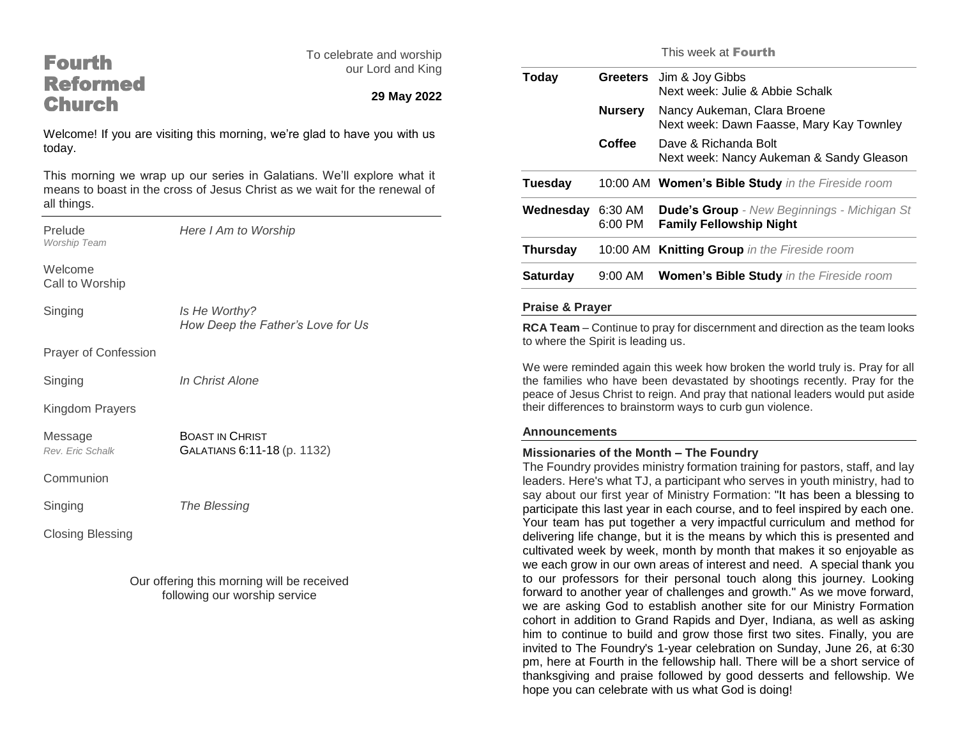## Fourth Reformed **Church**

To celebrate and worship our Lord and King

### **29 May 2022**

Welcome! If you are visiting this morning, we're glad to have you with us today.

This morning we wrap up our series in Galatians. We'll explore what it means to boast in the cross of Jesus Christ as we wait for the renewal of all things.

| Prelude<br><b>Worship Team</b> | Here I Am to Worship                                  |
|--------------------------------|-------------------------------------------------------|
| Welcome<br>Call to Worship     |                                                       |
| Singing                        | Is He Worthy?<br>How Deep the Father's Love for Us    |
| <b>Prayer of Confession</b>    |                                                       |
| Singing                        | In Christ Alone                                       |
| Kingdom Prayers                |                                                       |
| Message<br>Rev. Eric Schalk    | <b>BOAST IN CHRIST</b><br>GALATIANS 6:11-18 (p. 1132) |
| Communion                      |                                                       |
| Singing                        | The Blessing                                          |
| <b>Closing Blessing</b>        |                                                       |
|                                |                                                       |

Our offering this morning will be received following our worship service

This week at Fourth

| Today<br><b>Nursery</b><br>Coffee | <b>Greeters</b>                                                  | Jim & Joy Gibbs<br>Next week: Julie & Abbie Schalk                                   |
|-----------------------------------|------------------------------------------------------------------|--------------------------------------------------------------------------------------|
|                                   |                                                                  | Nancy Aukeman, Clara Broene<br>Next week: Dawn Faasse, Mary Kay Townley              |
|                                   | Dave & Richanda Bolt<br>Next week: Nancy Aukeman & Sandy Gleason |                                                                                      |
| Tuesday                           |                                                                  | 10:00 AM Women's Bible Study in the Fireside room                                    |
| Wednesday                         | 6:30 AM<br>$6:00$ PM                                             | <b>Dude's Group</b> - New Beginnings - Michigan St<br><b>Family Fellowship Night</b> |
| <b>Thursday</b>                   |                                                                  | 10:00 AM Knitting Group in the Fireside room                                         |
| <b>Saturday</b>                   | $9:00$ AM                                                        | <b>Women's Bible Study</b> in the Fireside room                                      |
|                                   |                                                                  |                                                                                      |

#### **Praise & Prayer**

**RCA Team** – Continue to pray for discernment and direction as the team looks to where the Spirit is leading us.

We were reminded again this week how broken the world truly is. Pray for all the families who have been devastated by shootings recently. Pray for the peace of Jesus Christ to reign. And pray that national leaders would put aside their differences to brainstorm ways to curb gun violence.

#### **Announcements**

#### **Missionaries of the Month – The Foundry**

The Foundry provides ministry formation training for pastors, staff, and lay leaders. Here's what TJ, a participant who serves in youth ministry, had to say about our first year of Ministry Formation: "It has been a blessing to participate this last year in each course, and to feel inspired by each one. Your team has put together a very impactful curriculum and method for delivering life change, but it is the means by which this is presented and cultivated week by week, month by month that makes it so enjoyable as we each grow in our own areas of interest and need. A special thank you to our professors for their personal touch along this journey. Looking forward to another year of challenges and growth." As we move forward, we are asking God to establish another site for our Ministry Formation cohort in addition to Grand Rapids and Dyer, Indiana, as well as asking him to continue to build and grow those first two sites. Finally, you are invited to The Foundry's 1-year celebration on Sunday, June 26, at 6:30 pm, here at Fourth in the fellowship hall. There will be a short service of thanksgiving and praise followed by good desserts and fellowship. We hope you can celebrate with us what God is doing!